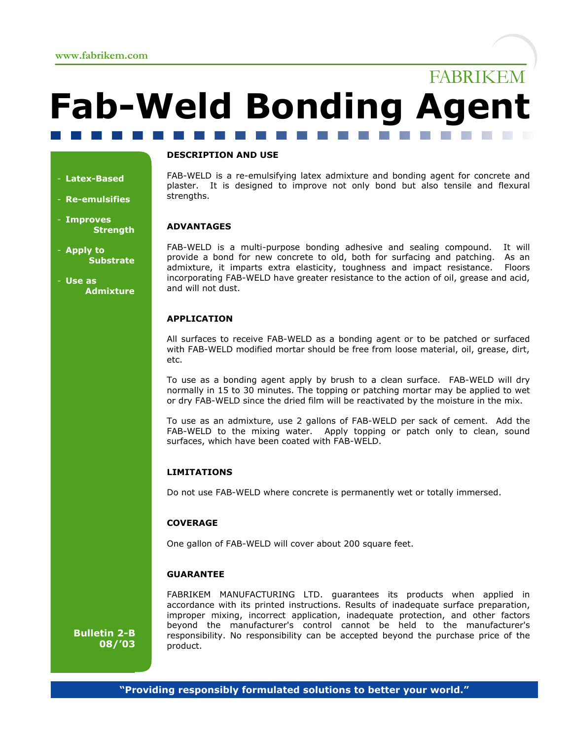# FABRIKEM **Fab-Weld Bonding Agent** and the control

## - **Latex-Based**

- **Re-emulsifies**
- **Improves Strength**
- **Apply to Substrate**
- **Use as Admixture**

## **DESCRIPTION AND USE**

FAB-WELD is a re-emulsifying latex admixture and bonding agent for concrete and plaster. It is designed to improve not only bond but also tensile and flexural strengths.

## **ADVANTAGES**

FAB-WELD is a multi-purpose bonding adhesive and sealing compound. It will provide a bond for new concrete to old, both for surfacing and patching. As an admixture, it imparts extra elasticity, toughness and impact resistance. Floors incorporating FAB-WELD have greater resistance to the action of oil, grease and acid, and will not dust.

## **APPLICATION**

All surfaces to receive FAB-WELD as a bonding agent or to be patched or surfaced with FAB-WELD modified mortar should be free from loose material, oil, grease, dirt, etc.

To use as a bonding agent apply by brush to a clean surface. FAB-WELD will dry normally in 15 to 30 minutes. The topping or patching mortar may be applied to wet or dry FAB-WELD since the dried film will be reactivated by the moisture in the mix.

To use as an admixture, use 2 gallons of FAB-WELD per sack of cement. Add the FAB-WELD to the mixing water. Apply topping or patch only to clean, sound surfaces, which have been coated with FAB-WELD.

#### **LIMITATIONS**

Do not use FAB-WELD where concrete is permanently wet or totally immersed.

#### **COVERAGE**

One gallon of FAB-WELD will cover about 200 square feet.

#### **GUARANTEE**

FABRIKEM MANUFACTURING LTD. guarantees its products when applied in accordance with its printed instructions. Results of inadequate surface preparation, improper mixing, incorrect application, inadequate protection, and other factors beyond the manufacturer's control cannot be held to the manufacturer's responsibility. No responsibility can be accepted beyond the purchase price of the product.

**Bulletin 2-B 08/'03**